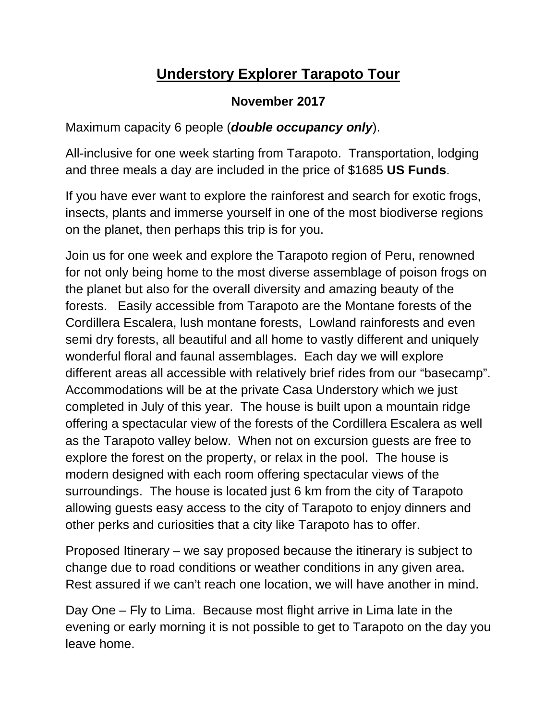## **Understory Explorer Tarapoto Tour**

## **November 2017**

Maximum capacity 6 people (*double occupancy only*).

All-inclusive for one week starting from Tarapoto. Transportation, lodging and three meals a day are included in the price of \$1685 **US Funds**.

If you have ever want to explore the rainforest and search for exotic frogs, insects, plants and immerse yourself in one of the most biodiverse regions on the planet, then perhaps this trip is for you.

Join us for one week and explore the Tarapoto region of Peru, renowned for not only being home to the most diverse assemblage of poison frogs on the planet but also for the overall diversity and amazing beauty of the forests. Easily accessible from Tarapoto are the Montane forests of the Cordillera Escalera, lush montane forests, Lowland rainforests and even semi dry forests, all beautiful and all home to vastly different and uniquely wonderful floral and faunal assemblages. Each day we will explore different areas all accessible with relatively brief rides from our "basecamp". Accommodations will be at the private Casa Understory which we just completed in July of this year. The house is built upon a mountain ridge offering a spectacular view of the forests of the Cordillera Escalera as well as the Tarapoto valley below. When not on excursion guests are free to explore the forest on the property, or relax in the pool. The house is modern designed with each room offering spectacular views of the surroundings. The house is located just 6 km from the city of Tarapoto allowing guests easy access to the city of Tarapoto to enjoy dinners and other perks and curiosities that a city like Tarapoto has to offer.

Proposed Itinerary – we say proposed because the itinerary is subject to change due to road conditions or weather conditions in any given area. Rest assured if we can't reach one location, we will have another in mind.

Day One – Fly to Lima. Because most flight arrive in Lima late in the evening or early morning it is not possible to get to Tarapoto on the day you leave home.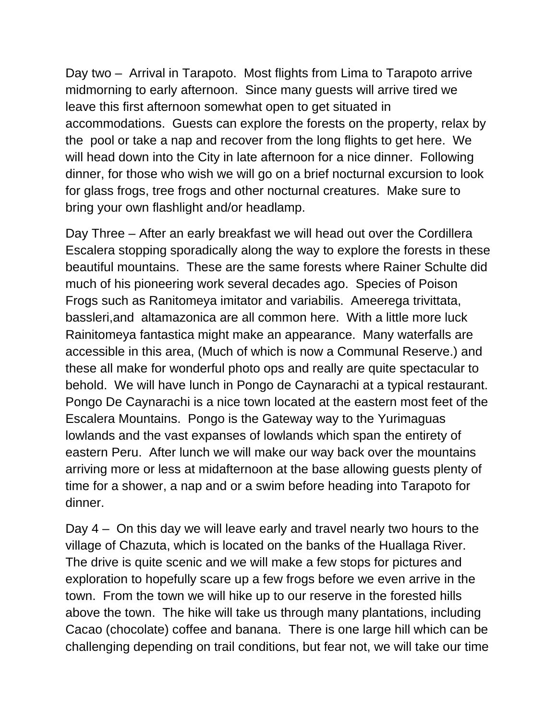Day two – Arrival in Tarapoto. Most flights from Lima to Tarapoto arrive midmorning to early afternoon. Since many guests will arrive tired we leave this first afternoon somewhat open to get situated in accommodations. Guests can explore the forests on the property, relax by the pool or take a nap and recover from the long flights to get here. We will head down into the City in late afternoon for a nice dinner. Following dinner, for those who wish we will go on a brief nocturnal excursion to look for glass frogs, tree frogs and other nocturnal creatures. Make sure to bring your own flashlight and/or headlamp.

Day Three – After an early breakfast we will head out over the Cordillera Escalera stopping sporadically along the way to explore the forests in these beautiful mountains. These are the same forests where Rainer Schulte did much of his pioneering work several decades ago. Species of Poison Frogs such as Ranitomeya imitator and variabilis. Ameerega trivittata, bassleri,and altamazonica are all common here. With a little more luck Rainitomeya fantastica might make an appearance. Many waterfalls are accessible in this area, (Much of which is now a Communal Reserve.) and these all make for wonderful photo ops and really are quite spectacular to behold. We will have lunch in Pongo de Caynarachi at a typical restaurant. Pongo De Caynarachi is a nice town located at the eastern most feet of the Escalera Mountains. Pongo is the Gateway way to the Yurimaguas lowlands and the vast expanses of lowlands which span the entirety of eastern Peru. After lunch we will make our way back over the mountains arriving more or less at midafternoon at the base allowing guests plenty of time for a shower, a nap and or a swim before heading into Tarapoto for dinner.

Day 4 – On this day we will leave early and travel nearly two hours to the village of Chazuta, which is located on the banks of the Huallaga River. The drive is quite scenic and we will make a few stops for pictures and exploration to hopefully scare up a few frogs before we even arrive in the town. From the town we will hike up to our reserve in the forested hills above the town. The hike will take us through many plantations, including Cacao (chocolate) coffee and banana. There is one large hill which can be challenging depending on trail conditions, but fear not, we will take our time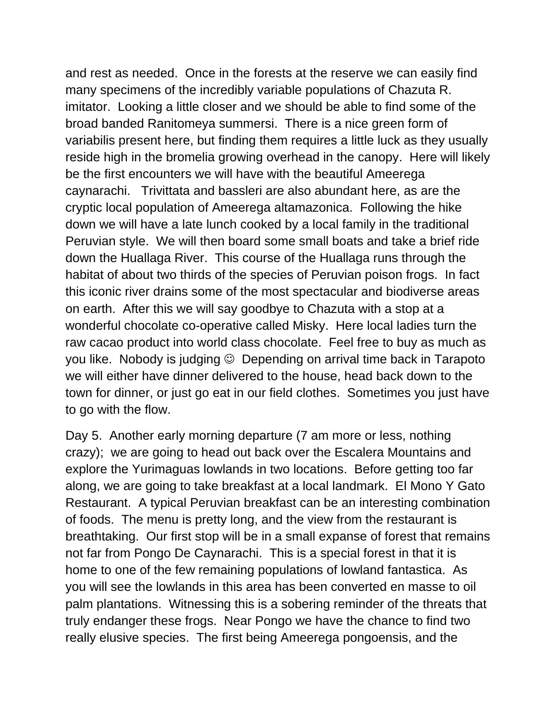and rest as needed. Once in the forests at the reserve we can easily find many specimens of the incredibly variable populations of Chazuta R. imitator. Looking a little closer and we should be able to find some of the broad banded Ranitomeya summersi. There is a nice green form of variabilis present here, but finding them requires a little luck as they usually reside high in the bromelia growing overhead in the canopy. Here will likely be the first encounters we will have with the beautiful Ameerega caynarachi. Trivittata and bassleri are also abundant here, as are the cryptic local population of Ameerega altamazonica. Following the hike down we will have a late lunch cooked by a local family in the traditional Peruvian style. We will then board some small boats and take a brief ride down the Huallaga River. This course of the Huallaga runs through the habitat of about two thirds of the species of Peruvian poison frogs. In fact this iconic river drains some of the most spectacular and biodiverse areas on earth. After this we will say goodbye to Chazuta with a stop at a wonderful chocolate co-operative called Misky. Here local ladies turn the raw cacao product into world class chocolate. Feel free to buy as much as you like. Nobody is judging  $\odot$  Depending on arrival time back in Tarapoto we will either have dinner delivered to the house, head back down to the town for dinner, or just go eat in our field clothes. Sometimes you just have to go with the flow.

Day 5. Another early morning departure (7 am more or less, nothing crazy); we are going to head out back over the Escalera Mountains and explore the Yurimaguas lowlands in two locations. Before getting too far along, we are going to take breakfast at a local landmark. El Mono Y Gato Restaurant. A typical Peruvian breakfast can be an interesting combination of foods. The menu is pretty long, and the view from the restaurant is breathtaking. Our first stop will be in a small expanse of forest that remains not far from Pongo De Caynarachi. This is a special forest in that it is home to one of the few remaining populations of lowland fantastica. As you will see the lowlands in this area has been converted en masse to oil palm plantations. Witnessing this is a sobering reminder of the threats that truly endanger these frogs. Near Pongo we have the chance to find two really elusive species. The first being Ameerega pongoensis, and the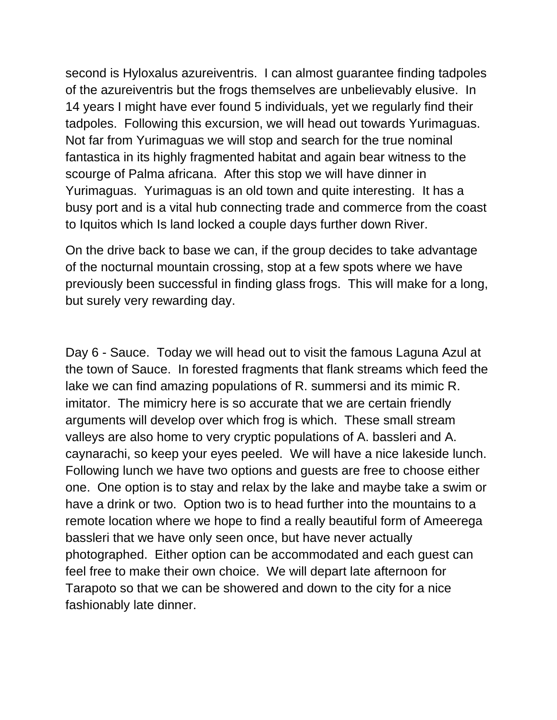second is Hyloxalus azureiventris. I can almost guarantee finding tadpoles of the azureiventris but the frogs themselves are unbelievably elusive. In 14 years I might have ever found 5 individuals, yet we regularly find their tadpoles. Following this excursion, we will head out towards Yurimaguas. Not far from Yurimaguas we will stop and search for the true nominal fantastica in its highly fragmented habitat and again bear witness to the scourge of Palma africana. After this stop we will have dinner in Yurimaguas. Yurimaguas is an old town and quite interesting. It has a busy port and is a vital hub connecting trade and commerce from the coast to Iquitos which Is land locked a couple days further down River.

On the drive back to base we can, if the group decides to take advantage of the nocturnal mountain crossing, stop at a few spots where we have previously been successful in finding glass frogs. This will make for a long, but surely very rewarding day.

Day 6 - Sauce. Today we will head out to visit the famous Laguna Azul at the town of Sauce. In forested fragments that flank streams which feed the lake we can find amazing populations of R. summersi and its mimic R. imitator. The mimicry here is so accurate that we are certain friendly arguments will develop over which frog is which. These small stream valleys are also home to very cryptic populations of A. bassleri and A. caynarachi, so keep your eyes peeled. We will have a nice lakeside lunch. Following lunch we have two options and guests are free to choose either one. One option is to stay and relax by the lake and maybe take a swim or have a drink or two. Option two is to head further into the mountains to a remote location where we hope to find a really beautiful form of Ameerega bassleri that we have only seen once, but have never actually photographed. Either option can be accommodated and each guest can feel free to make their own choice. We will depart late afternoon for Tarapoto so that we can be showered and down to the city for a nice fashionably late dinner.